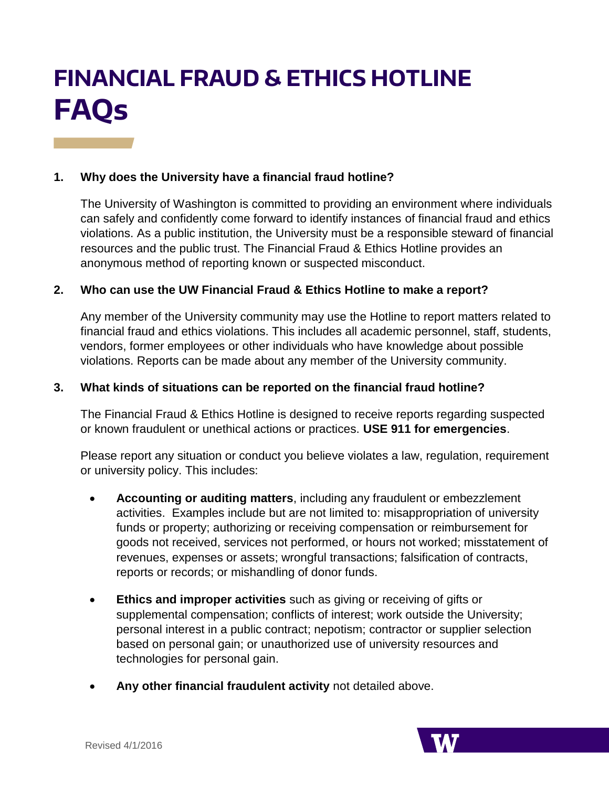# **FINANCIAL FRAUD & ETHICS HOTLINE FAQs**

#### **1. Why does the University have a financial fraud hotline?**

The University of Washington is committed to providing an environment where individuals can safely and confidently come forward to identify instances of financial fraud and ethics violations. As a public institution, the University must be a responsible steward of financial resources and the public trust. The Financial Fraud & Ethics Hotline provides an anonymous method of reporting known or suspected misconduct.

#### **2. Who can use the UW Financial Fraud & Ethics Hotline to make a report?**

Any member of the University community may use the Hotline to report matters related to financial fraud and ethics violations. This includes all academic personnel, staff, students, vendors, former employees or other individuals who have knowledge about possible violations. Reports can be made about any member of the University community.

#### **3. What kinds of situations can be reported on the financial fraud hotline?**

The Financial Fraud & Ethics Hotline is designed to receive reports regarding suspected or known fraudulent or unethical actions or practices. **USE 911 for emergencies**.

Please report any situation or conduct you believe violates a law, regulation, requirement or university policy. This includes:

- **Accounting or auditing matters**, including any fraudulent or embezzlement activities. Examples include but are not limited to: misappropriation of university funds or property; authorizing or receiving compensation or reimbursement for goods not received, services not performed, or hours not worked; misstatement of revenues, expenses or assets; wrongful transactions; falsification of contracts, reports or records; or mishandling of donor funds.
- **Ethics and improper activities** such as giving or receiving of gifts or supplemental compensation; conflicts of interest; work outside the University; personal interest in a public contract; nepotism; contractor or supplier selection based on personal gain; or unauthorized use of university resources and technologies for personal gain.
- **Any other financial fraudulent activity** not detailed above.

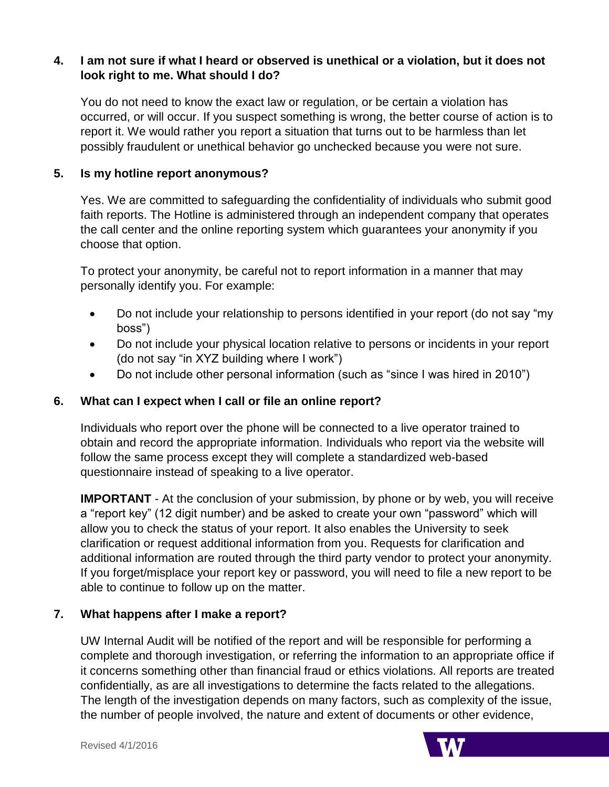# **4. I am not sure if what I heard or observed is unethical or a violation, but it does not look right to me. What should I do?**

You do not need to know the exact law or regulation, or be certain a violation has occurred, or will occur. If you suspect something is wrong, the better course of action is to report it. We would rather you report a situation that turns out to be harmless than let possibly fraudulent or unethical behavior go unchecked because you were not sure.

## **5. Is my hotline report anonymous?**

Yes. We are committed to safeguarding the confidentiality of individuals who submit good faith reports. The Hotline is administered through an independent company that operates the call center and the online reporting system which guarantees your anonymity if you choose that option.

To protect your anonymity, be careful not to report information in a manner that may personally identify you. For example:

- Do not include your relationship to persons identified in your report (do not say "my boss")
- Do not include your physical location relative to persons or incidents in your report (do not say "in XYZ building where I work")
- Do not include other personal information (such as "since I was hired in 2010")

# **6. What can I expect when I call or file an online report?**

Individuals who report over the phone will be connected to a live operator trained to obtain and record the appropriate information. Individuals who report via the website will follow the same process except they will complete a standardized web-based questionnaire instead of speaking to a live operator.

**IMPORTANT** - At the conclusion of your submission, by phone or by web, you will receive a "report key" (12 digit number) and be asked to create your own "password" which will allow you to check the status of your report. It also enables the University to seek clarification or request additional information from you. Requests for clarification and additional information are routed through the third party vendor to protect your anonymity. If you forget/misplace your report key or password, you will need to file a new report to be able to continue to follow up on the matter.

#### **7. What happens after I make a report?**

UW Internal Audit will be notified of the report and will be responsible for performing a complete and thorough investigation, or referring the information to an appropriate office if it concerns something other than financial fraud or ethics violations. All reports are treated confidentially, as are all investigations to determine the facts related to the allegations. The length of the investigation depends on many factors, such as complexity of the issue, the number of people involved, the nature and extent of documents or other evidence,